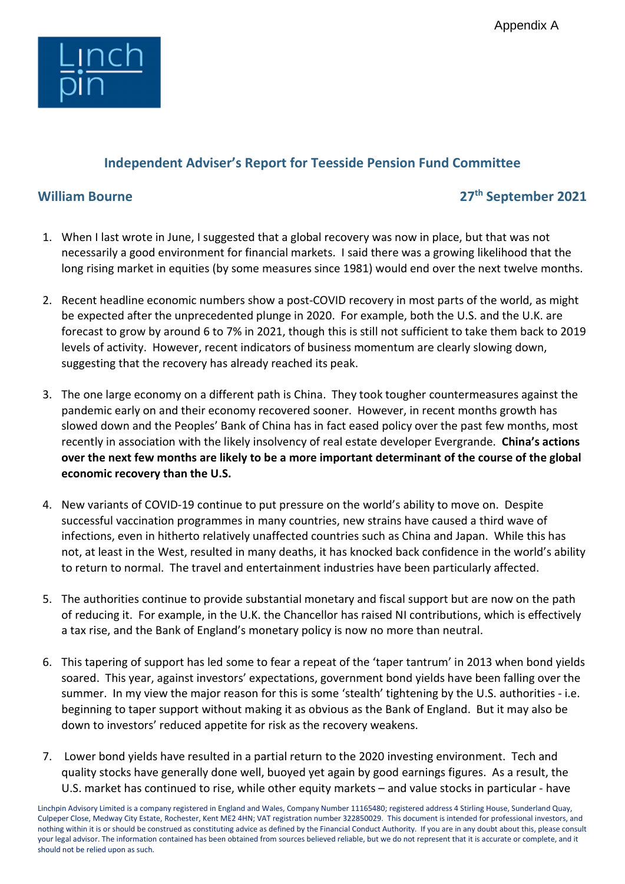

## Independent Adviser's Report for Teesside Pension Fund Committee

## William Bourne 2021

- 1. When I last wrote in June, I suggested that a global recovery was now in place, but that was not necessarily a good environment for financial markets. I said there was a growing likelihood that the long rising market in equities (by some measures since 1981) would end over the next twelve months.
- 2. Recent headline economic numbers show a post-COVID recovery in most parts of the world, as might be expected after the unprecedented plunge in 2020. For example, both the U.S. and the U.K. are forecast to grow by around 6 to 7% in 2021, though this is still not sufficient to take them back to 2019 levels of activity. However, recent indicators of business momentum are clearly slowing down, suggesting that the recovery has already reached its peak.
- 3. The one large economy on a different path is China. They took tougher countermeasures against the pandemic early on and their economy recovered sooner. However, in recent months growth has slowed down and the Peoples' Bank of China has in fact eased policy over the past few months, most recently in association with the likely insolvency of real estate developer Evergrande. China's actions over the next few months are likely to be a more important determinant of the course of the global economic recovery than the U.S.
- 4. New variants of COVID-19 continue to put pressure on the world's ability to move on. Despite successful vaccination programmes in many countries, new strains have caused a third wave of infections, even in hitherto relatively unaffected countries such as China and Japan. While this has not, at least in the West, resulted in many deaths, it has knocked back confidence in the world's ability to return to normal. The travel and entertainment industries have been particularly affected.
- 5. The authorities continue to provide substantial monetary and fiscal support but are now on the path of reducing it. For example, in the U.K. the Chancellor has raised NI contributions, which is effectively a tax rise, and the Bank of England's monetary policy is now no more than neutral.
- 6. This tapering of support has led some to fear a repeat of the 'taper tantrum' in 2013 when bond yields soared. This year, against investors' expectations, government bond yields have been falling over the summer. In my view the major reason for this is some 'stealth' tightening by the U.S. authorities - i.e. beginning to taper support without making it as obvious as the Bank of England. But it may also be down to investors' reduced appetite for risk as the recovery weakens.
- 7. Lower bond yields have resulted in a partial return to the 2020 investing environment. Tech and quality stocks have generally done well, buoyed yet again by good earnings figures. As a result, the U.S. market has continued to rise, while other equity markets – and value stocks in particular - have

Linchpin Advisory Limited is a company registered in England and Wales, Company Number 11165480; registered address 4 Stirling House, Sunderland Quay, Culpeper Close, Medway City Estate, Rochester, Kent ME2 4HN; VAT registration number 322850029. This document is intended for professional investors, and nothing within it is or should be construed as constituting advice as defined by the Financial Conduct Authority. If you are in any doubt about this, please consult your legal advisor. The information contained has been obtained from sources believed reliable, but we do not represent that it is accurate or complete, and it should not be relied upon as such.